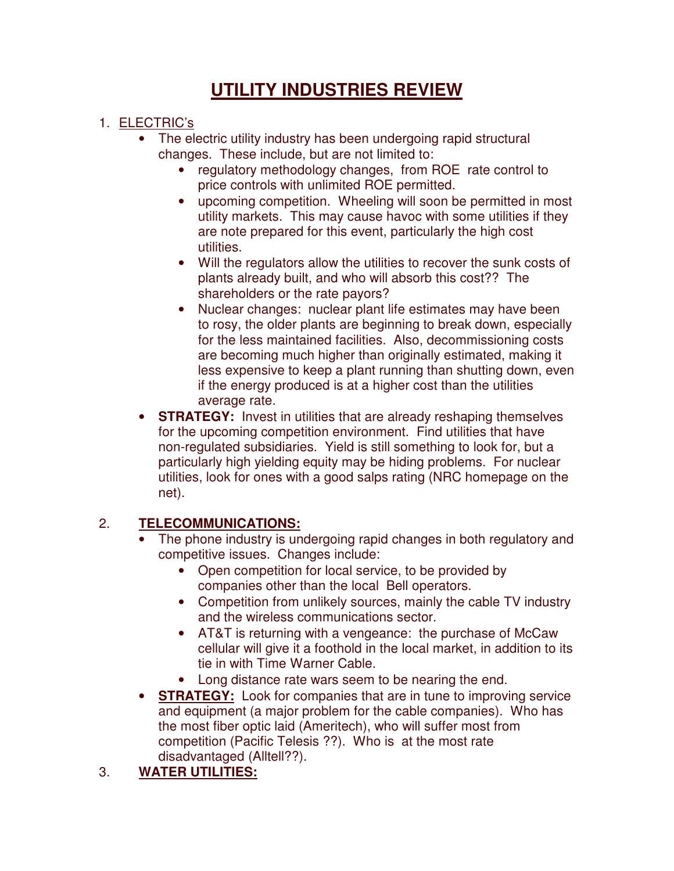## **UTILITY INDUSTRIES REVIEW**

## 1. ELECTRIC's

- The electric utility industry has been undergoing rapid structural changes. These include, but are not limited to:
	- regulatory methodology changes, from ROE rate control to price controls with unlimited ROE permitted.
	- upcoming competition. Wheeling will soon be permitted in most utility markets. This may cause havoc with some utilities if they are note prepared for this event, particularly the high cost utilities.
	- Will the regulators allow the utilities to recover the sunk costs of plants already built, and who will absorb this cost?? The shareholders or the rate payors?
	- Nuclear changes: nuclear plant life estimates may have been to rosy, the older plants are beginning to break down, especially for the less maintained facilities. Also, decommissioning costs are becoming much higher than originally estimated, making it less expensive to keep a plant running than shutting down, even if the energy produced is at a higher cost than the utilities average rate.
- **STRATEGY:** Invest in utilities that are already reshaping themselves for the upcoming competition environment. Find utilities that have non-regulated subsidiaries. Yield is still something to look for, but a particularly high yielding equity may be hiding problems. For nuclear utilities, look for ones with a good salps rating (NRC homepage on the net).

## 2. **TELECOMMUNICATIONS:**

- The phone industry is undergoing rapid changes in both regulatory and competitive issues. Changes include:
	- Open competition for local service, to be provided by companies other than the local Bell operators.
	- Competition from unlikely sources, mainly the cable TV industry and the wireless communications sector.
	- AT&T is returning with a vengeance: the purchase of McCaw cellular will give it a foothold in the local market, in addition to its tie in with Time Warner Cable.
	- Long distance rate wars seem to be nearing the end.
- **STRATEGY:** Look for companies that are in tune to improving service and equipment (a major problem for the cable companies). Who has the most fiber optic laid (Ameritech), who will suffer most from competition (Pacific Telesis ??). Who is at the most rate disadvantaged (Alltell??).

## 3. **WATER UTILITIES:**